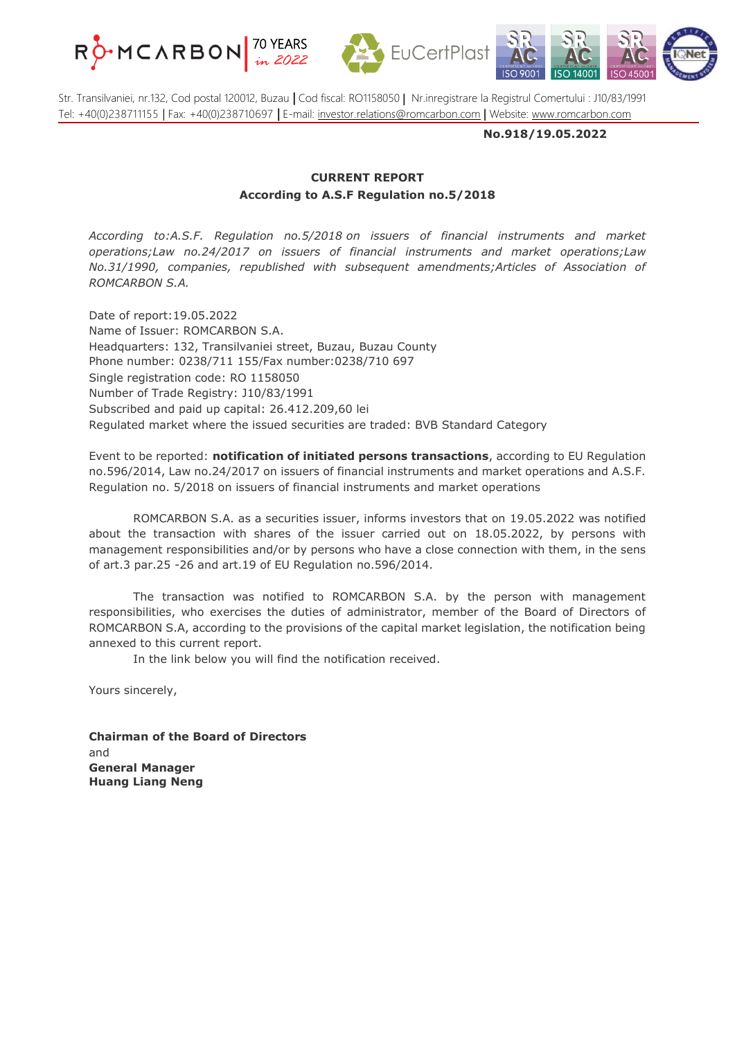





Str. Transilvaniei, nr.132, Cod postal 120012, Buzau **|** Cod fiscal: RO1158050 | Nr.inregistrare la Registrul Comertului : J10/83/1991 Tel: +40(0)238711155 | Fax: +40(0)238710697 **|** E-mail: [investor.relations@romcarbon.com](mailto:investor.relations@romcarbon.com) | Website: [www.romcarbon.com](https://www.romcarbon.com/)

**No.918/19.05.2022**

## **CURRENT REPORT According to A.S.F Regulation no.5/2018**

*According to:A.S.F. Regulation no.5/2018 on issuers of financial instruments and market operations;Law no.24/2017 on issuers of financial instruments and market operations;Law No.31/1990, companies, republished with subsequent amendments;Articles of Association of ROMCARBON S.A.*

Date of report:19.05.2022 Name of Issuer: ROMCARBON S.A. Headquarters: 132, Transilvaniei street, Buzau, Buzau County Phone number: 0238/711 155/Fax number:0238/710 697 Single registration code: RO 1158050 Number of Trade Registry: J10/83/1991 Subscribed and paid up capital: 26.412.209,60 lei Regulated market where the issued securities are traded: BVB Standard Category

Event to be reported: **notification of initiated persons transactions**, according to EU Regulation no.596/2014, Law no.24/2017 on issuers of financial instruments and market operations and A.S.F. Regulation no. 5/2018 on issuers of financial instruments and market operations

ROMCARBON S.A. as a securities issuer, informs investors that on 19.05.2022 was notified about the transaction with shares of the issuer carried out on 18.05.2022, by persons with management responsibilities and/or by persons who have a close connection with them, in the sens of art.3 par.25 -26 and art.19 of EU Regulation no.596/2014.

The transaction was notified to ROMCARBON S.A. by the person with management responsibilities, who exercises the duties of administrator, member of the Board of Directors of ROMCARBON S.A, according to the provisions of the capital market legislation, the notification being annexed to this current report.

In the link below you will find the notification received.

Yours sincerely,

**Chairman of the Board of Directors** and **General Manager Huang Liang Neng**